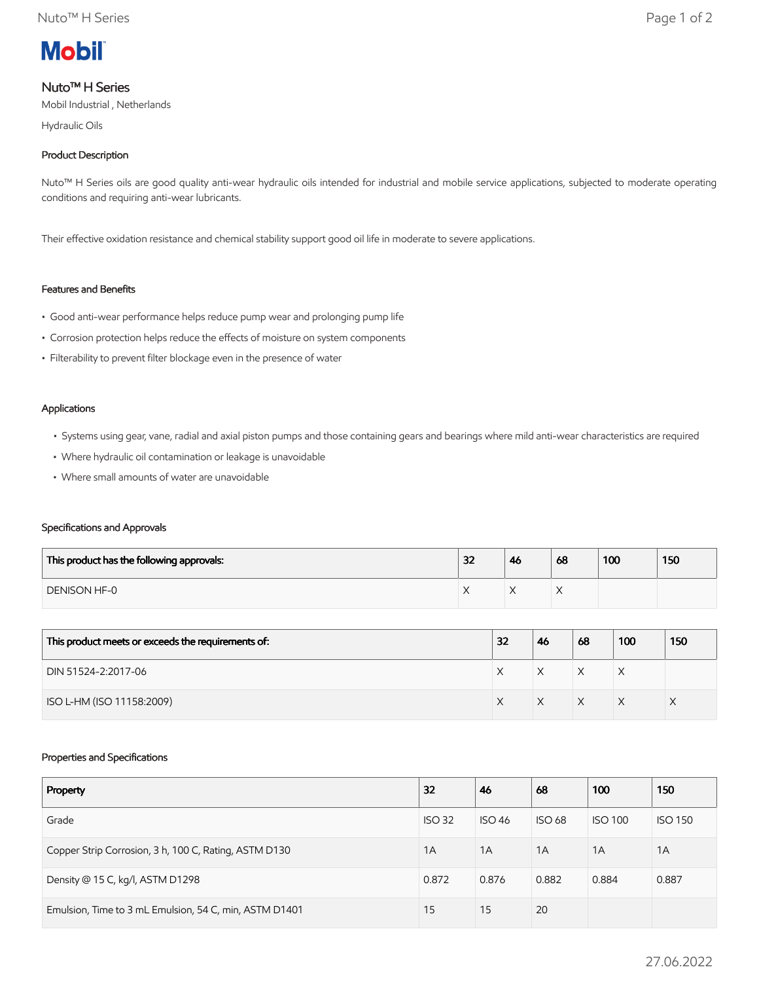

# Nuto™ H Series

Mobil Industrial , Netherlands

Hydraulic Oils

# Product Description

Nuto™ H Series oils are good quality anti-wear hydraulic oils intended for industrial and mobile service applications, subjected to moderate operating conditions and requiring anti-wear lubricants.

Their effective oxidation resistance and chemical stability support good oil life in moderate to severe applications.

# Features and Benefits

- Good anti-wear performance helps reduce pump wear and prolonging pump life
- Corrosion protection helps reduce the effects of moisture on system components
- Filterability to prevent filter blockage even in the presence of water

#### Applications

- Systems using gear, vane, radial and axial piston pumps and those containing gears and bearings where mild anti-wear characteristics are required
- Where hydraulic oil contamination or leakage is unavoidable
- Where small amounts of water are unavoidable

### Specifications and Approvals

| This product has the following approvals: | 32 | 46 | 68 | 100 | 150 |
|-------------------------------------------|----|----|----|-----|-----|
| DENISON HF-0                              |    |    |    |     |     |

| This product meets or exceeds the requirements of: | 32 | 46 | 68 | 100 | 150 |
|----------------------------------------------------|----|----|----|-----|-----|
| DIN 51524-2:2017-06                                |    | X  | X  | ⋏   |     |
| ISO L-HM (ISO 11158:2009)                          |    |    | X  |     |     |

### Properties and Specifications

| Property                                               | 32            | 46            | 68            | 100            | 150            |
|--------------------------------------------------------|---------------|---------------|---------------|----------------|----------------|
| Grade                                                  | <b>ISO 32</b> | <b>ISO 46</b> | <b>ISO 68</b> | <b>ISO 100</b> | <b>ISO 150</b> |
| Copper Strip Corrosion, 3 h, 100 C, Rating, ASTM D130  | 1A            | 1A            | 1A            | 1A             | 1A             |
| Density @ 15 C, kg/l, ASTM D1298                       | 0.872         | 0.876         | 0.882         | 0.884          | 0.887          |
| Emulsion, Time to 3 mL Emulsion, 54 C, min, ASTM D1401 | 15            | 15            | 20            |                |                |